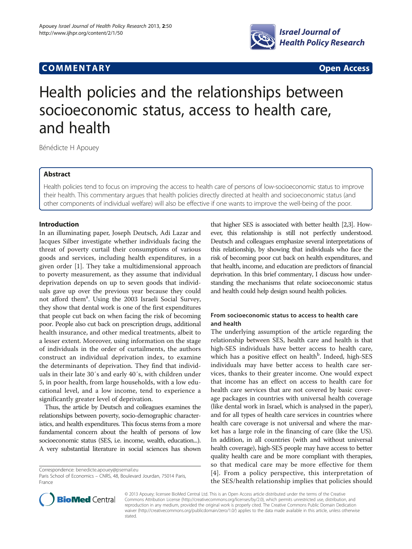# **COMMENTARY COMMENTARY Open Access**



# Health policies and the relationships between socioeconomic status, access to health care, and health

Bénédicte H Apouey

# Abstract

Health policies tend to focus on improving the access to health care of persons of low-socioeconomic status to improve their health. This commentary argues that health policies directly directed at health and socioeconomic status (and other components of individual welfare) will also be effective if one wants to improve the well-being of the poor.

# Introduction

In an illuminating paper, Joseph Deutsch, Adi Lazar and Jacques Silber investigate whether individuals facing the threat of poverty curtail their consumptions of various goods and services, including health expenditures, in a given order [[1\]](#page-1-0). They take a multidimensional approach to poverty measurement, as they assume that individual deprivation depends on up to seven goods that individuals gave up over the previous year because they could not afford them<sup>a</sup>. Using the 2003 Israeli Social Survey, they show that dental work is one of the first expenditures that people cut back on when facing the risk of becoming poor. People also cut back on prescription drugs, additional health insurance, and other medical treatments, albeit to a lesser extent. Moreover, using information on the stage of individuals in the order of curtailments, the authors construct an individual deprivation index, to examine the determinants of deprivation. They find that individuals in their late 30′s and early 40′s, with children under 5, in poor health, from large households, with a low educational level, and a low income, tend to experience a significantly greater level of deprivation.

Thus, the article by Deutsch and colleagues examines the relationships between poverty, socio-demographic characteristics, and health expenditures. This focus stems from a more fundamental concern about the health of persons of low socioeconomic status (SES, i.e. income, wealth, education...). A very substantial literature in social sciences has shown

Correspondence: [benedicte.apouey@psemail.eu](mailto:benedicte.apouey@psemail.eu)



# From socioeconomic status to access to health care and health

The underlying assumption of the article regarding the relationship between SES, health care and health is that high-SES individuals have better access to health care, which has a positive effect on health<sup>b</sup>. Indeed, high-SES individuals may have better access to health care services, thanks to their greater income. One would expect that income has an effect on access to health care for health care services that are not covered by basic coverage packages in countries with universal health coverage (like dental work in Israel, which is analysed in the paper), and for all types of health care services in countries where health care coverage is not universal and where the market has a large role in the financing of care (like the US). In addition, in all countries (with and without universal health coverage), high-SES people may have access to better quality health care and be more compliant with therapies, so that medical care may be more effective for them [[4](#page-1-0)]. From a policy perspective, this interpretation of the SES/health relationship implies that policies should



© 2013 Apouey; licensee BioMed Central Ltd. This is an Open Access article distributed under the terms of the Creative Commons Attribution License [\(http://creativecommons.org/licenses/by/2.0\)](http://creativecommons.org/licenses/by/2.0), which permits unrestricted use, distribution, and reproduction in any medium, provided the original work is properly cited. The Creative Commons Public Domain Dedication waiver [\(http://creativecommons.org/publicdomain/zero/1.0/\)](http://creativecommons.org/publicdomain/zero/1.0/) applies to the data made available in this article, unless otherwise stated.

Paris School of Economics – CNRS, 48, Boulevard Jourdan, 75014 Paris, France